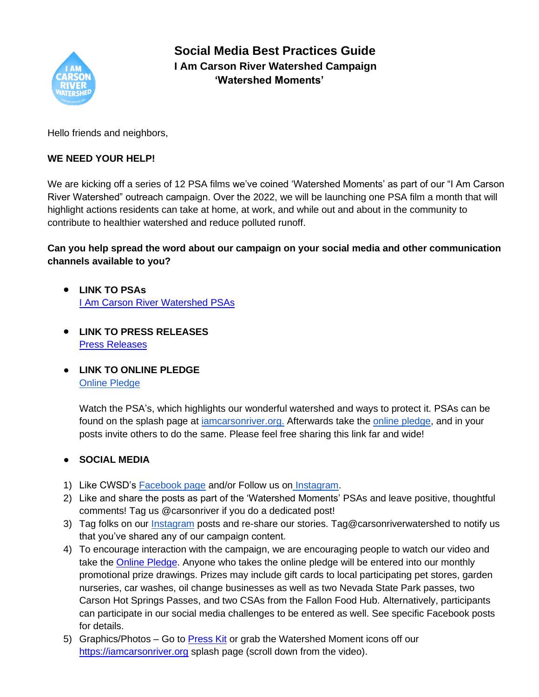

# **Social Media Best Practices Guide I Am Carson River Watershed Campaign 'Watershed Moments'**

Hello friends and neighbors,

### **WE NEED YOUR HELP!**

We are kicking off a series of 12 PSA films we've coined 'Watershed Moments' as part of our "I Am Carson River Watershed" outreach campaign. Over the 2022, we will be launching one PSA film a month that will highlight actions residents can take at home, at work, and while out and about in the community to contribute to healthier watershed and reduce polluted runoff.

## **Can you help spread the word about our campaign on your social media and other communication channels available to you?**

- **LINK TO PSAs** [I Am Carson River Watershed PSAs](http://iamcarsonriver.org/)
- **LINK TO PRESS RELEASES** Press [Releases](https://www.cwsd.org/press-releases/)
- **LINK TO ONLINE PLEDGE**  [Online Pledge](https://docs.google.com/forms/d/1QPfsrigHZ3ok5up8QCMtDKSYl52ybBjLCs9YdhzfhB0/edit)

Watch the PSA's, which highlights our wonderful watershed and ways to protect it. PSAs can be found on the splash page at [iamcarsonriver.org.](http://iamcarsonriver.org/) Afterwards take the [online pledge,](https://docs.google.com/forms/d/1QPfsrigHZ3ok5up8QCMtDKSYl52ybBjLCs9YdhzfhB0/edit) and in your posts invite others to do the same. Please feel free sharing this link far and wide!

### ● **SOCIAL MEDIA**

- 1) Like CWSD's [Facebook page](http://facebook.com/carsonriver) and/or Follow us on [Instagram.](http://instagram.com/carsonriverwatershed)
- 2) Like and share the posts as part of the 'Watershed Moments' PSAs and leave positive, thoughtful comments! Tag us @carsonriver if you do a dedicated post!
- 3) Tag folks on our [Instagram](https://www.instagram.com/carsonriverwatershed/) posts and re-share our stories. Tag@carsonriverwatershed to notify us that you've shared any of our campaign content.
- 4) To encourage interaction with the campaign, we are encouraging people to watch our video and take the [Online Pledge.](https://docs.google.com/forms/d/1QPfsrigHZ3ok5up8QCMtDKSYl52ybBjLCs9YdhzfhB0/edit) Anyone who takes the online pledge will be entered into our monthly promotional prize drawings. Prizes may include gift cards to local participating pet stores, garden nurseries, car washes, oil change businesses as well as two Nevada State Park passes, two Carson Hot Springs Passes, and two CSAs from the Fallon Food Hub. Alternatively, participants can participate in our social media challenges to be entered as well. See specific Facebook posts for details.
- 5) Graphics/Photos Go to **Press Kit or grab the Watershed Moment icons off our** [https://iamcarsonriver.org](https://iamcarsonriver.org/) splash page (scroll down from the video).